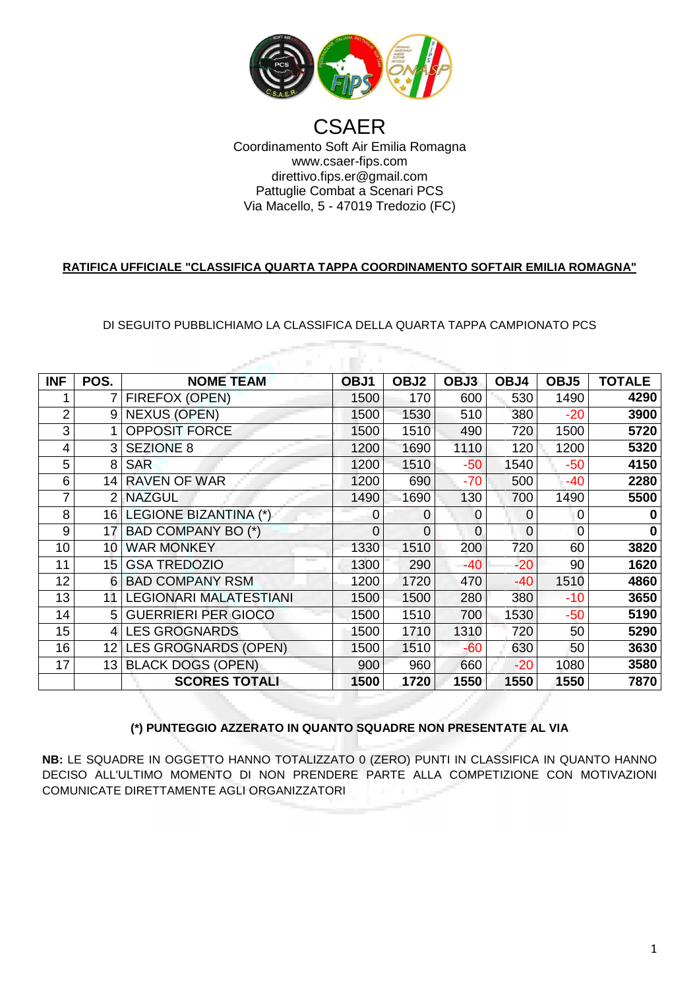

## Coordinamento Soft Air Emilia Romagna Via Macello Macello, 5 - 47019 Tredozio (FC) **CSAER** www.csaer-fips.com direttivo.fips.er@gmail.com Pattuglie Combat a Scenari PCS

## **RATIFICA UFFICIALE "CLASSIFICA QUARTA TAPPA COORDINAMENTO SOFTAIR EMILIA ROMAGNA"**

DI SEGUITO PUBBLICHIAMO LA CLASSIFICA DELLA QUARTA TAPPA CAMPIONATO PCS A

| <b>INF</b>     | POS.            | <b>NOME TEAM</b>              | OBJ1 | OBJ2           | OBJ3     | OBJ4     | OBJ5  | <b>TOTALE</b> |  |  |  |  |
|----------------|-----------------|-------------------------------|------|----------------|----------|----------|-------|---------------|--|--|--|--|
|                | 7               | FIREFOX (OPEN)                | 1500 | 170            | 600      | 530      | 1490  | 4290          |  |  |  |  |
| $\overline{2}$ | 9               | <b>NEXUS (OPEN)</b>           | 1500 | 1530           | 510      | 380      | $-20$ | 3900          |  |  |  |  |
| 3              |                 | <b>OPPOSIT FORCE</b>          | 1500 | 1510           | 490      | 720      | 1500  | 5720          |  |  |  |  |
| 4              | 3               | <b>SEZIONE 8</b>              | 1200 | 1690           | 1110     | 120      | 1200  | 5320          |  |  |  |  |
| 5              | 8               | <b>SAR</b>                    | 1200 | 1510           | $-50$    | 1540     | $-50$ | 4150          |  |  |  |  |
| 6              | 14              | <b>RAVEN OF WAR</b>           | 1200 | 690            | $-70$    | 500      | -40   | 2280          |  |  |  |  |
| 7              | $\overline{2}$  | <b>NAZGUL</b>                 | 1490 | 1690           | 130      | 700      | 1490  | 5500          |  |  |  |  |
| 8              | 16              | <b>LEGIONE BIZANTINA (*)</b>  | 0    | $\overline{0}$ | 0        | $\Omega$ | 0     | $\bf{0}$      |  |  |  |  |
| 9              | 17              | BAD COMPANY BO (*)            | 0    | $\Omega$       | $\Omega$ | $\Omega$ | 0     | 0             |  |  |  |  |
| 10             | 10              | <b>WAR MONKEY</b>             | 1330 | 1510           | 200      | 720      | 60    | 3820          |  |  |  |  |
| 11             | 15              | <b>GSA TREDOZIO</b>           | 1300 | 290            | $-40$    | $-20$    | 90    | 1620          |  |  |  |  |
| 12             | 6               | <b>BAD COMPANY RSM</b>        | 1200 | 1720           | 470      | $-40$    | 1510  | 4860          |  |  |  |  |
| 13             | 11              | <b>LEGIONARI MALATESTIANI</b> | 1500 | 1500           | 280      | 380      | $-10$ | 3650          |  |  |  |  |
| 14             | 5               | <b>GUERRIERI PER GIOCO</b>    | 1500 | 1510           | 700      | 1530     | $-50$ | 5190          |  |  |  |  |
| 15             | 4               | <b>LES GROGNARDS</b>          | 1500 | 1710           | 1310     | 720      | 50    | 5290          |  |  |  |  |
| 16             | 12 <sup>2</sup> | <b>LES GROGNARDS (OPEN)</b>   | 1500 | 1510           | $-60$    | 630      | 50    | 3630          |  |  |  |  |
| 17             | 13              | <b>BLACK DOGS (OPEN)</b>      | 900  | 960            | 660      | $-20$    | 1080  | 3580          |  |  |  |  |
|                |                 | <b>SCORES TOTALI</b>          | 1500 | 1720           | 1550     | 1550     | 1550  | 7870          |  |  |  |  |

## **(\*) PUNTEGGIO AZZER RATO IN QUANTO SQUADRE NON PRESENTA ATE AL VIA**

**NB:** LE SQUADRE IN OGGETTO HANNO TOTALIZZATO 0 (ZERO) PUNTI IN CLASSIFICA IN QUANTO HANNO DECISO ALL'ULTIMO MOMENTO DI NON PRENDERE PARTE ALLA COMPETIZIONE CON MOTIVAZIONI COMUNICATE DIRETTAMENTE AGLI O ORGANIZZATORI